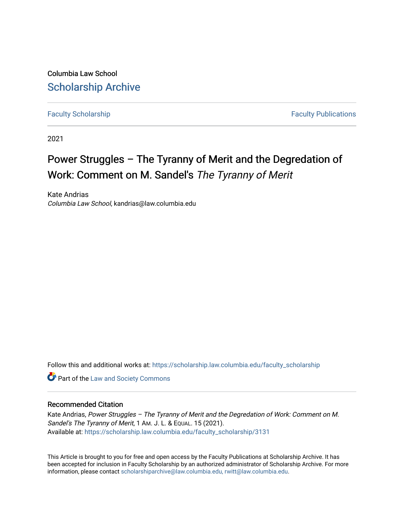Columbia Law School [Scholarship Archive](https://scholarship.law.columbia.edu/) 

[Faculty Scholarship](https://scholarship.law.columbia.edu/faculty_scholarship) **Faculty Scholarship Faculty Publications** 

2021

# Power Struggles – The Tyranny of Merit and the Degredation of Work: Comment on M. Sandel's The Tyranny of Merit

Kate Andrias Columbia Law School, kandrias@law.columbia.edu

Follow this and additional works at: [https://scholarship.law.columbia.edu/faculty\\_scholarship](https://scholarship.law.columbia.edu/faculty_scholarship?utm_source=scholarship.law.columbia.edu%2Ffaculty_scholarship%2F3131&utm_medium=PDF&utm_campaign=PDFCoverPages)

**Part of the [Law and Society Commons](http://network.bepress.com/hgg/discipline/853?utm_source=scholarship.law.columbia.edu%2Ffaculty_scholarship%2F3131&utm_medium=PDF&utm_campaign=PDFCoverPages)** 

#### Recommended Citation

Kate Andrias, Power Struggles – The Tyranny of Merit and the Degredation of Work: Comment on M. Sandel's The Tyranny of Merit, 1 AM. J. L. & EQUAL. 15 (2021). Available at: [https://scholarship.law.columbia.edu/faculty\\_scholarship/3131](https://scholarship.law.columbia.edu/faculty_scholarship/3131?utm_source=scholarship.law.columbia.edu%2Ffaculty_scholarship%2F3131&utm_medium=PDF&utm_campaign=PDFCoverPages)

This Article is brought to you for free and open access by the Faculty Publications at Scholarship Archive. It has been accepted for inclusion in Faculty Scholarship by an authorized administrator of Scholarship Archive. For more information, please contact [scholarshiparchive@law.columbia.edu, rwitt@law.columbia.edu](mailto:scholarshiparchive@law.columbia.edu,%20rwitt@law.columbia.edu).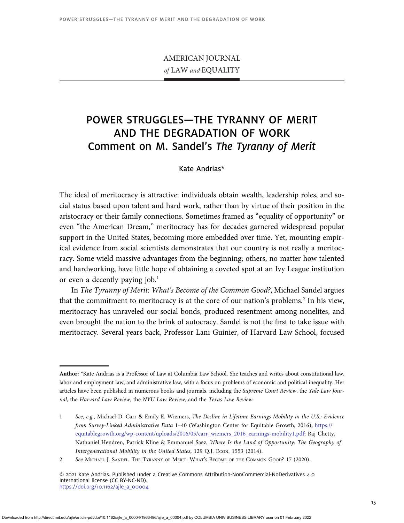## AMERICAN JOURNAL of LAW and EQUALITY

## POWER STRUGGLES—THE TYRANNY OF MERIT AND THE DEGRADATION OF WORK Comment on M. Sandel's The Tyranny of Merit

### Kate Andrias\*

The ideal of meritocracy is attractive: individuals obtain wealth, leadership roles, and social status based upon talent and hard work, rather than by virtue of their position in the aristocracy or their family connections. Sometimes framed as "equality of opportunity" or even "the American Dream," meritocracy has for decades garnered widespread popular support in the United States, becoming more embedded over time. Yet, mounting empirical evidence from social scientists demonstrates that our country is not really a meritocracy. Some wield massive advantages from the beginning; others, no matter how talented and hardworking, have little hope of obtaining a coveted spot at an Ivy League institution or even a decently paying job. $<sup>1</sup>$ </sup>

In The Tyranny of Merit: What's Become of the Common Good?, Michael Sandel argues that the commitment to meritocracy is at the core of our nation's problems.<sup>2</sup> In his view, meritocracy has unraveled our social bonds, produced resentment among nonelites, and even brought the nation to the brink of autocracy. Sandel is not the first to take issue with meritocracy. Several years back, Professor Lani Guinier, of Harvard Law School, focused

Author: \*Kate Andrias is a Professor of Law at Columbia Law School. She teaches and writes about constitutional law, labor and employment law, and administrative law, with a focus on problems of economic and political inequality. Her articles have been published in numerous books and journals, including the Supreme Court Review, the Yale Law Journal, the Harvard Law Review, the NYU Law Review, and the Texas Law Review.

<sup>1</sup> See, e.g., Michael D. Carr & Emily E. Wiemers, The Decline in Lifetime Earnings Mobility in the U.S.: Evidence from Survey-Linked Administrative Data 1–40 (Washington Center for Equitable Growth, 2016), [https://](https://equitablegrowth.org/wp-content/uploads/2016/05/carr_wiemers_2016_earnings-mobility1.pdf) [equitablegrowth.org/wp-content/uploads/2016/05/carr\\_wiemers\\_2016\\_earnings-mobility1.pdf](https://equitablegrowth.org/wp-content/uploads/2016/05/carr_wiemers_2016_earnings-mobility1.pdf); Raj Chetty, Nathaniel Hendren, Patrick Kline & Emmanuel Saez, Where Is the Land of Opportunity: The Geography of Intergenerational Mobility in the United States, 129 Q.J. Econ. 1553 (2014).

<sup>2</sup> See MICHAEL J. SANDEL, THE TYRANNY OF MERIT: WHAT'S BECOME OF THE COMMON GOOD? 17 (2020).

<sup>© 2021</sup> Kate Andrias. Published under a Creative Commons Attribution-NonCommercial-NoDerivatives 4.0 International license (CC BY-NC-ND).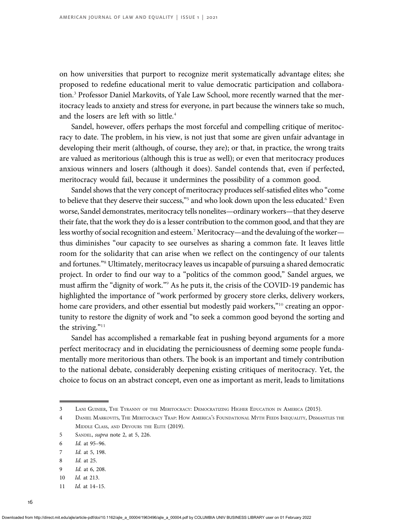on how universities that purport to recognize merit systematically advantage elites; she proposed to redefine educational merit to value democratic participation and collaboration.<sup>3</sup> Professor Daniel Markovits, of Yale Law School, more recently warned that the meritocracy leads to anxiety and stress for everyone, in part because the winners take so much, and the losers are left with so little.<sup>4</sup>

Sandel, however, offers perhaps the most forceful and compelling critique of meritocracy to date. The problem, in his view, is not just that some are given unfair advantage in developing their merit (although, of course, they are); or that, in practice, the wrong traits are valued as meritorious (although this is true as well); or even that meritocracy produces anxious winners and losers (although it does). Sandel contends that, even if perfected, meritocracy would fail, because it undermines the possibility of a common good.

Sandel shows that the very concept of meritocracy produces self-satisfied elites who "come to believe that they deserve their success,"<sup>5</sup> and who look down upon the less educated.<sup>6</sup> Even worse, Sandel demonstrates, meritocracy tells nonelites—ordinary workers—that they deserve their fate, that the work they do is a lesser contribution to the common good, and that they are less worthy of social recognition and esteem.<sup>7</sup> Meritocracy—and the devaluing of the worker thus diminishes "our capacity to see ourselves as sharing a common fate. It leaves little room for the solidarity that can arise when we reflect on the contingency of our talents and fortunes."<sup>8</sup> Ultimately, meritocracy leaves us incapable of pursuing a shared democratic project. In order to find our way to a "politics of the common good," Sandel argues, we must affirm the "dignity of work."<sup>9</sup> As he puts it, the crisis of the COVID-19 pandemic has highlighted the importance of "work performed by grocery store clerks, delivery workers, home care providers, and other essential but modestly paid workers,"<sup>10</sup> creating an opportunity to restore the dignity of work and "to seek a common good beyond the sorting and the striving."<sup>11</sup>

Sandel has accomplished a remarkable feat in pushing beyond arguments for a more perfect meritocracy and in elucidating the perniciousness of deeming some people fundamentally more meritorious than others. The book is an important and timely contribution to the national debate, considerably deepening existing critiques of meritocracy. Yet, the choice to focus on an abstract concept, even one as important as merit, leads to limitations

9 Id. at 6, 208.

11 Id. at 14–15.

<sup>3</sup> LANI GUINIER, THE TYRANNY OF THE MERITOCRACY: DEMOCRATIZING HIGHER EDUCATION IN AMERICA (2015).

<sup>4</sup> DANIEL MARKOVITS, THE MERITOCRACY TRAP: HOW AMERICA'<sup>S</sup> FOUNDATIONAL MYTH FEEDS INEQUALITY, DISMANTLES THE MIDDLE CLASS, AND DEVOURS THE ELITE (2019).

<sup>5</sup> SANDEL, supra note 2, at 5, 226.

<sup>6</sup> Id. at 95–96.

<sup>7</sup> Id. at 5, 198.

<sup>8</sup> Id. at 25.

<sup>10</sup> Id. at 213.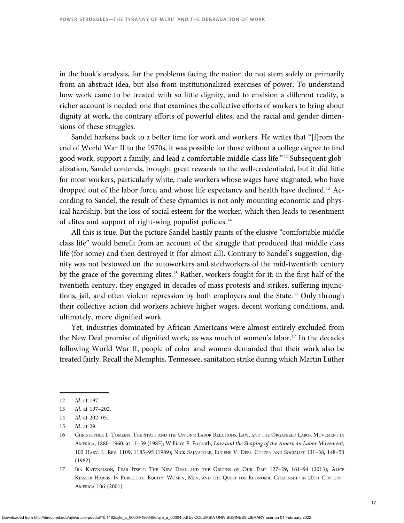in the book's analysis, for the problems facing the nation do not stem solely or primarily from an abstract idea, but also from institutionalized exercises of power. To understand how work came to be treated with so little dignity, and to envision a different reality, a richer account is needed: one that examines the collective efforts of workers to bring about dignity at work, the contrary efforts of powerful elites, and the racial and gender dimensions of these struggles.

Sandel harkens back to a better time for work and workers. He writes that "[f]rom the end of World War II to the 1970s, it was possible for those without a college degree to find good work, support a family, and lead a comfortable middle-class life."<sup>12</sup> Subsequent globalization, Sandel contends, brought great rewards to the well-credentialed, but it did little for most workers, particularly white, male workers whose wages have stagnated, who have dropped out of the labor force, and whose life expectancy and health have declined.<sup>13</sup> According to Sandel, the result of these dynamics is not only mounting economic and physical hardship, but the loss of social esteem for the worker, which then leads to resentment of elites and support of right-wing populist policies.<sup>14</sup>

All this is true. But the picture Sandel hastily paints of the elusive "comfortable middle class life" would benefit from an account of the struggle that produced that middle class life (for some) and then destroyed it (for almost all). Contrary to Sandel's suggestion, dignity was not bestowed on the autoworkers and steelworkers of the mid-twentieth century by the grace of the governing elites.<sup>15</sup> Rather, workers fought for it: in the first half of the twentieth century, they engaged in decades of mass protests and strikes, suffering injunctions, jail, and often violent repression by both employers and the State.<sup>16</sup> Only through their collective action did workers achieve higher wages, decent working conditions, and, ultimately, more dignified work.

Yet, industries dominated by African Americans were almost entirely excluded from the New Deal promise of dignified work, as was much of women's labor.<sup>17</sup> In the decades following World War II, people of color and women demanded that their work also be treated fairly. Recall the Memphis, Tennessee, sanitation strike during which Martin Luther

<sup>12</sup> Id. at 197.

<sup>13</sup> Id. at 197–202.

<sup>14</sup> Id. at 202–05.

<sup>15</sup> Id. at 29.

<sup>16</sup> CHRISTOPHER L. TOMLINS, THE STATE AND THE UNIONS: LABOR RELATIONS, LAW, AND THE ORGANIZED LABOR MOVEMENT IN AMERICA, 1880–1960, at 11–59 (1985); William E. Forbath, Law and the Shaping of the American Labor Movement, 102 HARV. L. REV. 1109, 1185–95 (1989); NICK SALVATORE, EUGENE V. DEBS: CITIZEN AND SOCIALIST 131–38, 148–50 (1982).

<sup>17</sup> IRA KATZNELSON, FEAR ITSELF: THE NEW DEAL AND THE ORIGINS OF OUR TIME 127–29, 161–94 (2013); ALICE KESSLER-HARRIS, IN PURSUIT OF EQUITY: WOMEN, MEN, AND THE QUEST FOR ECONOMIC CITIZENSHIP IN 20TH-CENTURY AMERICA 106 (2001).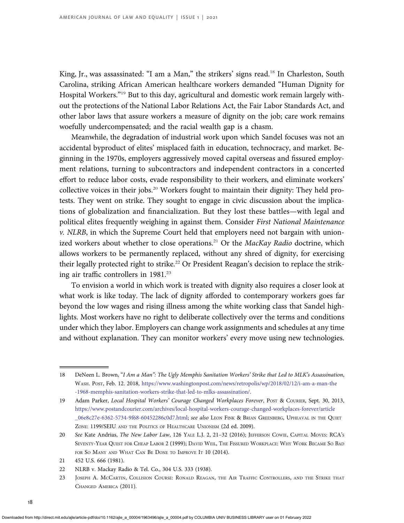King, Jr., was assassinated: "I am a Man," the strikers' signs read.<sup>18</sup> In Charleston, South Carolina, striking African American healthcare workers demanded "Human Dignity for Hospital Workers."<sup>19</sup> But to this day, agricultural and domestic work remain largely without the protections of the National Labor Relations Act, the Fair Labor Standards Act, and other labor laws that assure workers a measure of dignity on the job; care work remains woefully undercompensated; and the racial wealth gap is a chasm.

Meanwhile, the degradation of industrial work upon which Sandel focuses was not an accidental byproduct of elites' misplaced faith in education, technocracy, and market. Beginning in the 1970s, employers aggressively moved capital overseas and fissured employment relations, turning to subcontractors and independent contractors in a concerted effort to reduce labor costs, evade responsibility to their workers, and eliminate workers' collective voices in their jobs.<sup>20</sup> Workers fought to maintain their dignity: They held protests. They went on strike. They sought to engage in civic discussion about the implications of globalization and financialization. But they lost these battles—with legal and political elites frequently weighing in against them. Consider First National Maintenance  $v.$  NLRB, in which the Supreme Court held that employers need not bargain with unionized workers about whether to close operations.<sup>21</sup> Or the *MacKay Radio* doctrine, which allows workers to be permanently replaced, without any shred of dignity, for exercising their legally protected right to strike.<sup>22</sup> Or President Reagan's decision to replace the striking air traffic controllers in  $1981.^{23}$ 

To envision a world in which work is treated with dignity also requires a closer look at what work is like today. The lack of dignity afforded to contemporary workers goes far beyond the low wages and rising illness among the white working class that Sandel highlights. Most workers have no right to deliberate collectively over the terms and conditions under which they labor. Employers can change work assignments and schedules at any time and without explanation. They can monitor workers' every move using new technologies.

<sup>18</sup> DeNeen L. Brown, "I Am a Man": The Ugly Memphis Sanitation Workers' Strike that Led to MLK's Assassination, WASH. POST, Feb. 12. 2018, [https://www.washingtonpost.com/news/retropolis/wp/2018/02/12/i-am-a-man-the](https://www.washingtonpost.com/news/retropolis/wp/2018/02/12/i-am-a-man-the-1968-memphis-sanitation-workers-strike-that-led-to-mlks-assassination/) [-1968-memphis-sanitation-workers-strike-that-led-to-mlks-assassination/.](https://www.washingtonpost.com/news/retropolis/wp/2018/02/12/i-am-a-man-the-1968-memphis-sanitation-workers-strike-that-led-to-mlks-assassination/)

<sup>19</sup> Adam Parker, Local Hospital Workers' Courage Changed Workplaces Forever, Post & Courier, Sept. 30, 2013, [https://www.postandcourier.com/archives/local-hospital-workers-courage-changed-workplaces-forever/article](https://www.postandcourier.com/archives/local-hospital-workers-courage-changed-workplaces-forever/article_06e8c27e-6362-5734-9f68-60452286c0d7.html) [\\_06e8c27e-6362-5734-9f68-60452286c0d7.html](https://www.postandcourier.com/archives/local-hospital-workers-courage-changed-workplaces-forever/article_06e8c27e-6362-5734-9f68-60452286c0d7.html); see also LEON FINK & BRIAN GREENBERG, UPHEAVAL IN THE QUIET ZONE: 1199/SEIU AND THE POLITICS OF HEALTHCARE UNIONISM (2d ed. 2009).

<sup>20</sup> See Kate Andrias, The New Labor Law, 126 YALE L.J. 2, 21–32 (2016); JEFFERSON COWIE, CAPITAL MOVES: RCA'<sup>S</sup> SEVENTY-YEAR QUEST FOR CHEAP LABOR 2 (1999); DAVID WEIL, THE FISSURED WORKPLACE: WHY WORK BECAME SO BAD FOR SO MANY AND WHAT CAN BE DONE TO IMPROVE IT 10 (2014).

<sup>21 452</sup> U.S. 666 (1981).

<sup>22</sup> NLRB v. Mackay Radio & Tel. Co., 304 U.S. 333 (1938).

<sup>23</sup> JOSEPH A. MCCARTIN, COLLISION COURSE: RONALD REAGAN, THE AIR TRAFFIC CONTROLLERS, AND THE STRIKE THAT CHANGED AMERICA (2011).